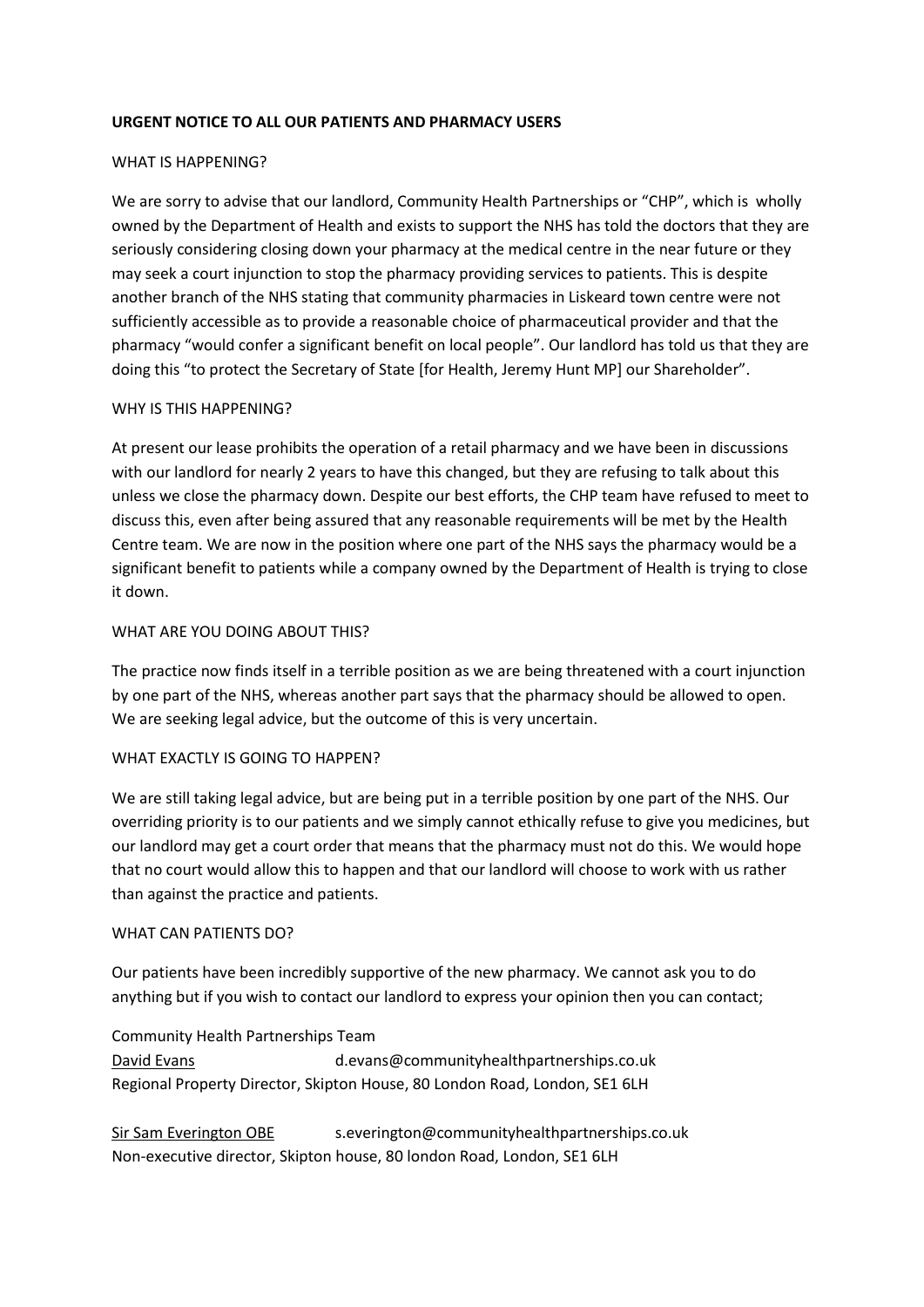## **URGENT NOTICE TO ALL OUR PATIENTS AND PHARMACY USERS**

# WHAT IS HAPPENING?

We are sorry to advise that our landlord, Community Health Partnerships or "CHP", which is wholly owned by the Department of Health and exists to support the NHS has told the doctors that they are seriously considering closing down your pharmacy at the medical centre in the near future or they may seek a court injunction to stop the pharmacy providing services to patients. This is despite another branch of the NHS stating that community pharmacies in Liskeard town centre were not sufficiently accessible as to provide a reasonable choice of pharmaceutical provider and that the pharmacy "would confer a significant benefit on local people". Our landlord has told us that they are doing this "to protect the Secretary of State [for Health, Jeremy Hunt MP] our Shareholder".

# WHY IS THIS HAPPENING?

At present our lease prohibits the operation of a retail pharmacy and we have been in discussions with our landlord for nearly 2 years to have this changed, but they are refusing to talk about this unless we close the pharmacy down. Despite our best efforts, the CHP team have refused to meet to discuss this, even after being assured that any reasonable requirements will be met by the Health Centre team. We are now in the position where one part of the NHS says the pharmacy would be a significant benefit to patients while a company owned by the Department of Health is trying to close it down.

# WHAT ARE YOU DOING ABOUT THIS?

The practice now finds itself in a terrible position as we are being threatened with a court injunction by one part of the NHS, whereas another part says that the pharmacy should be allowed to open. We are seeking legal advice, but the outcome of this is very uncertain.

# WHAT EXACTLY IS GOING TO HAPPEN?

We are still taking legal advice, but are being put in a terrible position by one part of the NHS. Our overriding priority is to our patients and we simply cannot ethically refuse to give you medicines, but our landlord may get a court order that means that the pharmacy must not do this. We would hope that no court would allow this to happen and that our landlord will choose to work with us rather than against the practice and patients.

# WHAT CAN PATIENTS DO?

Our patients have been incredibly supportive of the new pharmacy. We cannot ask you to do anything but if you wish to contact our landlord to express your opinion then you can contact;

Community Health Partnerships Team David Evans d.evans@communityhealthpartnerships.co.uk Regional Property Director, Skipton House, 80 London Road, London, SE1 6LH

Sir Sam Everington OBE [s.everington@communityh](mailto:s.everington@community)ealthpartnerships.co.uk Non-executive director, Skipton house, 80 london Road, London, SE1 6LH